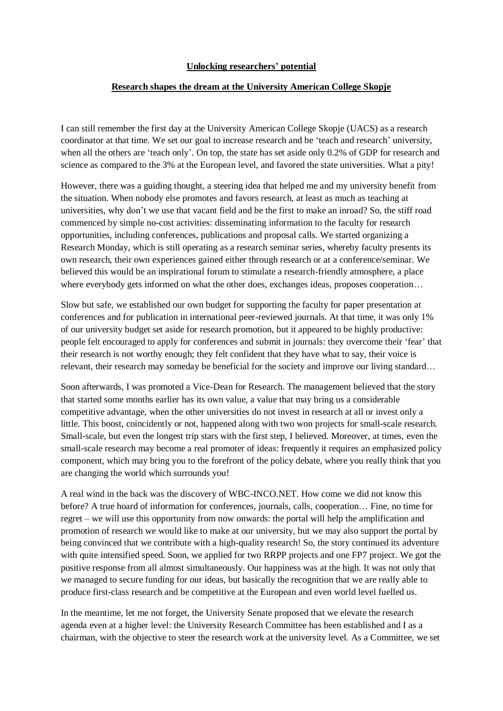## **Unlocking researchers' potential**

## **Research shapes the dream at the University American College Skopje**

I can still remember the first day at the University American College Skopje (UACS) as a research coordinator at that time. We set our goal to increase research and be 'teach and research' university, when all the others are 'teach only'. On top, the state has set aside only 0.2% of GDP for research and science as compared to the 3% at the European level, and favored the state universities. What a pity!

However, there was a guiding thought, a steering idea that helped me and my university benefit from the situation. When nobody else promotes and favors research, at least as much as teaching at universities, why don't we use that vacant field and be the first to make an inroad? So, the stiff road commenced by simple no-cost activities: disseminating information to the faculty for research opportunities, including conferences, publications and proposal calls. We started organizing a Research Monday, which is still operating as a research seminar series, whereby faculty presents its own research, their own experiences gained either through research or at a conference/seminar. We believed this would be an inspirational forum to stimulate a research-friendly atmosphere, a place where everybody gets informed on what the other does, exchanges ideas, proposes cooperation…

Slow but safe, we established our own budget for supporting the faculty for paper presentation at conferences and for publication in international peer-reviewed journals. At that time, it was only 1% of our university budget set aside for research promotion, but it appeared to be highly productive: people felt encouraged to apply for conferences and submit in journals: they overcome their 'fear' that their research is not worthy enough; they felt confident that they have what to say, their voice is relevant, their research may someday be beneficial for the society and improve our living standard…

Soon afterwards, I was promoted a Vice-Dean for Research. The management believed that the story that started some months earlier has its own value, a value that may bring us a considerable competitive advantage, when the other universities do not invest in research at all or invest only a little. This boost, coincidently or not, happened along with two won projects for small-scale research. Small-scale, but even the longest trip stars with the first step, I believed. Moreover, at times, even the small-scale research may become a real promoter of ideas: frequently it requires an emphasized policy component, which may bring you to the forefront of the policy debate, where you really think that you are changing the world which surrounds you!

A real wind in the back was the discovery of WBC-INCO.NET. How come we did not know this before? A true hoard of information for conferences, journals, calls, cooperation… Fine, no time for regret – we will use this opportunity from now onwards: the portal will help the amplification and promotion of research we would like to make at our university, but we may also support the portal by being convinced that we contribute with a high-quality research! So, the story continued its adventure with quite intensified speed. Soon, we applied for two RRPP projects and one FP7 project. We got the positive response from all almost simultaneously. Our happiness was at the high. It was not only that we managed to secure funding for our ideas, but basically the recognition that we are really able to produce first-class research and be competitive at the European and even world level fuelled us.

In the meantime, let me not forget, the University Senate proposed that we elevate the research agenda even at a higher level: the University Research Committee has been established and I as a chairman, with the objective to steer the research work at the university level. As a Committee, we set